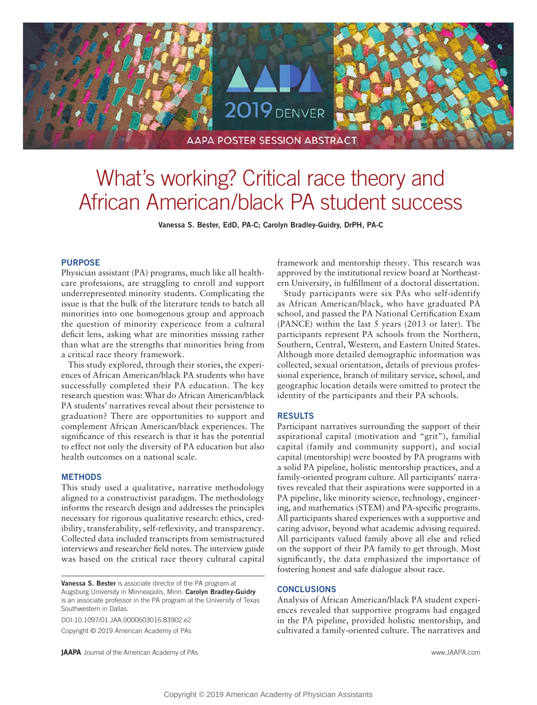

# What's working? Critical race theory and African American/black PA student success

**Vanessa S. Bester, EdD, PA-C; Carolyn Bradley-Guidry, DrPH, PA-C**

### **PURPOSE**

Physician assistant (PA) programs, much like all healthcare professions, are struggling to enroll and support underrepresented minority students. Complicating the issue is that the bulk of the literature tends to batch all minorities into one homogenous group and approach the question of minority experience from a cultural deficit lens, asking what are minorities missing rather than what are the strengths that minorities bring from a critical race theory framework.

This study explored, through their stories, the experiences of African American/black PA students who have successfully completed their PA education. The key research question was: What do African American/black PA students' narratives reveal about their persistence to graduation? There are opportunities to support and complement African American/black experiences. The significance of this research is that it has the potential to effect not only the diversity of PA education but also health outcomes on a national scale.

## **METHODS**

This study used a qualitative, narrative methodology aligned to a constructivist paradigm. The methodology informs the research design and addresses the principles necessary for rigorous qualitative research: ethics, credibility, transferability, self-reflexivity, and transparency. Collected data included transcripts from semistructured interviews and researcher field notes. The interview guide was based on the critical race theory cultural capital

**Vanessa S. Bester** is associate director of the PA program at Augsburg University in Minneapolis, Minn. **Carolyn Bradley-Guidry** is an associate professor in the PA program at the University of Texas Southwestern in Dallas.

DOI:10.1097/01.JAA.0000603016.83902.e2 Copyright © 2019 American Academy of PAs

**JAAPA** Journal of the American Academy of PAs www.JAAPA.com

framework and mentorship theory. This research was approved by the institutional review board at Northeastern University, in fulfillment of a doctoral dissertation.

Study participants were six PAs who self-identify as African American/black, who have graduated PA school, and passed the PA National Certification Exam (PANCE) within the last 5 years (2013 or later). The participants represent PA schools from the Northern, Southern, Central, Western, and Eastern United States. Although more detailed demographic information was collected, sexual orientation, details of previous professional experience, branch of military service, school, and geographic location details were omitted to protect the identity of the participants and their PA schools.

## **RESULTS**

Participant narratives surrounding the support of their aspirational capital (motivation and "grit"), familial capital (family and community support), and social capital (mentorship) were boosted by PA programs with a solid PA pipeline, holistic mentorship practices, and a family-oriented program culture. All participants' narratives revealed that their aspirations were supported in a PA pipeline, like minority science, technology, engineering, and mathematics (STEM) and PA-specific programs. All participants shared experiences with a supportive and caring advisor, beyond what academic advising required. All participants valued family above all else and relied on the support of their PA family to get through. Most significantly, the data emphasized the importance of fostering honest and safe dialogue about race.

#### **CONCLUSIONS**

Analysis of African American/black PA student experiences revealed that supportive programs had engaged in the PA pipeline, provided holistic mentorship, and cultivated a family-oriented culture. The narratives and